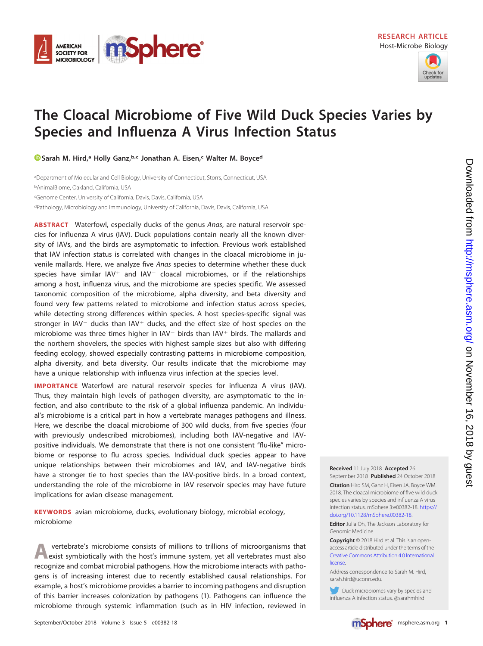



# **The Cloacal Microbiome of Five Wild Duck Species Varies by Species and Influenza A Virus Infection Status**

**[Sarah M. Hird,](https://orcid.org/0000-0002-1998-9387)**<sup>a</sup> Holly Ganz,<sup>b,c</sup> Jonathan A. Eisen,<sup>c</sup> Walter M. Boyce<sup>d</sup>

aDepartment of Molecular and Cell Biology, University of Connecticut, Storrs, Connecticut, USA <sup>b</sup>AnimalBiome, Oakland, California, USA

c Genome Center, University of California, Davis, Davis, California, USA

<sup>d</sup>Pathology, Microbiology and Immunology, University of California, Davis, Davis, California, USA

**ABSTRACT** Waterfowl, especially ducks of the genus Anas, are natural reservoir species for influenza A virus (IAV). Duck populations contain nearly all the known diversity of IAVs, and the birds are asymptomatic to infection. Previous work established that IAV infection status is correlated with changes in the cloacal microbiome in juvenile mallards. Here, we analyze five Anas species to determine whether these duck species have similar  $IAV<sup>+</sup>$  and  $IAV<sup>-</sup>$  cloacal microbiomes, or if the relationships among a host, influenza virus, and the microbiome are species specific. We assessed taxonomic composition of the microbiome, alpha diversity, and beta diversity and found very few patterns related to microbiome and infection status across species, while detecting strong differences within species. A host species-specific signal was stronger in  $IAV^-$  ducks than  $IAV^+$  ducks, and the effect size of host species on the microbiome was three times higher in  $IAV^-$  birds than  $IAV^+$  birds. The mallards and the northern shovelers, the species with highest sample sizes but also with differing feeding ecology, showed especially contrasting patterns in microbiome composition, alpha diversity, and beta diversity. Our results indicate that the microbiome may have a unique relationship with influenza virus infection at the species level.

**IMPORTANCE** Waterfowl are natural reservoir species for influenza A virus (IAV). Thus, they maintain high levels of pathogen diversity, are asymptomatic to the infection, and also contribute to the risk of a global influenza pandemic. An individual's microbiome is a critical part in how a vertebrate manages pathogens and illness. Here, we describe the cloacal microbiome of 300 wild ducks, from five species (four with previously undescribed microbiomes), including both IAV-negative and IAVpositive individuals. We demonstrate that there is not one consistent "flu-like" microbiome or response to flu across species. Individual duck species appear to have unique relationships between their microbiomes and IAV, and IAV-negative birds have a stronger tie to host species than the IAV-positive birds. In a broad context, understanding the role of the microbiome in IAV reservoir species may have future implications for avian disease management.

**KEYWORDS** avian microbiome, ducks, evolutionary biology, microbial ecology, microbiome

**A** vertebrate's microbiome consists of millions to trillions of microorganisms that exist symbiotically with the host's immune system, yet all vertebrates must also recognize and combat microbial pathogens. How the microbiome interacts with pathogens is of increasing interest due to recently established causal relationships. For example, a host's microbiome provides a barrier to incoming pathogens and disruption of this barrier increases colonization by pathogens [\(1\)](#page-13-0). Pathogens can influence the microbiome through systemic inflammation (such as in HIV infection, reviewed in

**Received** 11 July 2018 **Accepted** 26

September 2018 **Published** 24 October 2018 **Citation** Hird SM, Ganz H, Eisen JA, Boyce WM. 2018. The cloacal microbiome of five wild duck species varies by species and influenza A virus infection status. mSphere 3:e00382-18. [https://](https://doi.org/10.1128/mSphere.00382-18) [doi.org/10.1128/mSphere.00382-18.](https://doi.org/10.1128/mSphere.00382-18)

**Editor** Julia Oh, The Jackson Laboratory for Genomic Medicine

**Copyright** © 2018 Hird et al. This is an openaccess article distributed under the terms of the [Creative Commons Attribution 4.0 International](https://creativecommons.org/licenses/by/4.0/) [license.](https://creativecommons.org/licenses/by/4.0/)

Address correspondence to Sarah M. Hird, [sarah.hird@uconn.edu.](mailto:sarah.hird@uconn.edu)

Duck microbiomes vary by species and influenza A infection status. @sarahmhird

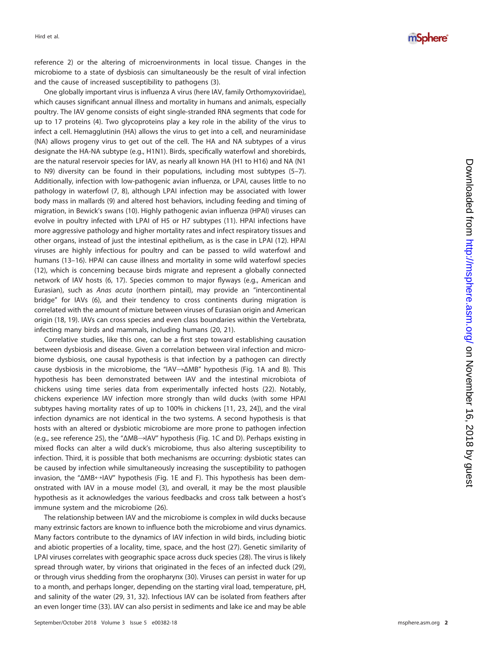reference [2\)](#page-13-1) or the altering of microenvironments in local tissue. Changes in the microbiome to a state of dysbiosis can simultaneously be the result of viral infection and the cause of increased susceptibility to pathogens ( [3\)](#page-13-2).

One globally important virus is influenza A virus (here IAV, family Orthomyxoviridae), which causes significant annual illness and mortality in humans and animals, especially poultry. The IAV genome consists of eight single-stranded RNA segments that code for up to 17 proteins ( [4\)](#page-13-3). Two glycoproteins play a key role in the ability of the virus to infect a cell. Hemagglutinin (HA) allows the virus to get into a cell, and neuraminidase (NA) allows progeny virus to get out of the cell. The HA and NA subtypes of a virus designate the HA-NA subtype (e.g., H1N1). Birds, specifically waterfowl and shorebirds, are the natural reservoir species for IAV, as nearly all known HA (H1 to H16) and NA (N1 to N9) diversity can be found in their populations, including most subtypes [\(5](#page-13-4)[–](#page-13-5)[7\)](#page-13-6). Additionally, infection with low-pathogenic avian influenza, or LPAI, causes little to no pathology in waterfowl ([7](#page-13-6), [8\)](#page-13-7), although LPAI infection may be associated with lower body mass in mallards ( [9\)](#page-13-8) and altered host behaviors, including feeding and timing of migration, in Bewick's swans [\(10\)](#page-13-9). Highly pathogenic avian influenza (HPAI) viruses can evolve in poultry infected with LPAI of H5 or H7 subtypes [\(11\)](#page-13-10). HPAI infections have more aggressive pathology and higher mortality rates and infect respiratory tissues and other organs, instead of just the intestinal epithelium, as is the case in LPAI [\(12\)](#page-13-11). HPAI viruses are highly infectious for poultry and can be passed to wild waterfowl and humans [\(13](#page-13-12)[–](#page-13-13)[16\)](#page-13-14). HPAI can cause illness and mortality in some wild waterfowl species [\(12\)](#page-13-11), which is concerning because birds migrate and represent a globally connected network of IAV hosts ( [6](#page-13-5) , [17\)](#page-13-15). Species common to major flyways (e.g., American and Eurasian), such as Anas acuta (northern pintail), may provide an "intercontinental bridge" for IAVs ( [6\)](#page-13-5), and their tendency to cross continents during migration is correlated with the amount of mixture between viruses of Eurasian origin and American origin [\(18](#page-13-16) , [19\)](#page-13-17). IAVs can cross species and even class boundaries within the Vertebrata, infecting many birds and mammals, including humans [\(20](#page-13-18) , [21\)](#page-13-19).

Correlative studies, like this one, can be a first step toward establishing causation between dysbiosis and disease. Given a correlation between viral infection and microbiome dysbiosis, one causal hypothesis is that infection by a pathogen can directly cause dysbiosis in the microbiome, the "IAV->ΔMB" hypothesis [\(Fig. 1A](#page-2-0) and [B\)](#page-2-0). This hypothesis has been demonstrated between IAV and the intestinal microbiota of chickens using time series data from experimentally infected hosts [\(22\)](#page-13-20). Notably, chickens experience IAV infection more strongly than wild ducks (with some HPAI subtypes having mortality rates of up to 100% in chickens [\[11](#page-13-10) , [23](#page-13-21) , [24\]](#page-13-22)), and the viral infection dynamics are not identical in the two systems. A second hypothesis is that hosts with an altered or dysbiotic microbiome are more prone to pathogen infection (e.g., see reference [25\)](#page-13-23), the "ΔMB→IAV" hypothesis [\(Fig. 1C](#page-2-0) and [D\)](#page-2-0). Perhaps existing in mixed flocks can alter a wild duck's microbiome, thus also altering susceptibility to infection. Third, it is possible that both mechanisms are occurring: dysbiotic states can be caused by infection while simultaneously increasing the susceptibility to pathogen invasion, the "ΔMB↔IAV" hypothesis [\(Fig. 1E](#page-2-0) and [F\)](#page-2-0). This hypothesis has been demonstrated with IAV in a mouse model [\(3\)](#page-13-2), and overall, it may be the most plausible hypothesis as it acknowledges the various feedbacks and cross talk between a host's immune system and the microbiome [\(26\)](#page-13-24).

The relationship between IAV and the microbiome is complex in wild ducks because many extrinsic factors are known to influence both the microbiome and virus dynamics. Many factors contribute to the dynamics of IAV infection in wild birds, including biotic and abiotic properties of a locality, time, space, and the host [\(27\)](#page-13-25). Genetic similarity of LPAI viruses correlates with geographic space across duck species [\(28\)](#page-13-26). The virus is likely spread through water, by virions that originated in the feces of an infected duck [\(29\)](#page-13-27), or through virus shedding from the oropharynx [\(30\)](#page-13-28). Viruses can persist in water for up to a month, and perhaps longer, depending on the starting viral load, temperature, pH, and salinity of the water [\(29](#page-13-27), [31](#page-14-0), [32\)](#page-14-1). Infectious IAV can be isolated from feathers after an even longer time [\(33\)](#page-14-2). IAV can also persist in sediments and lake ice and may be able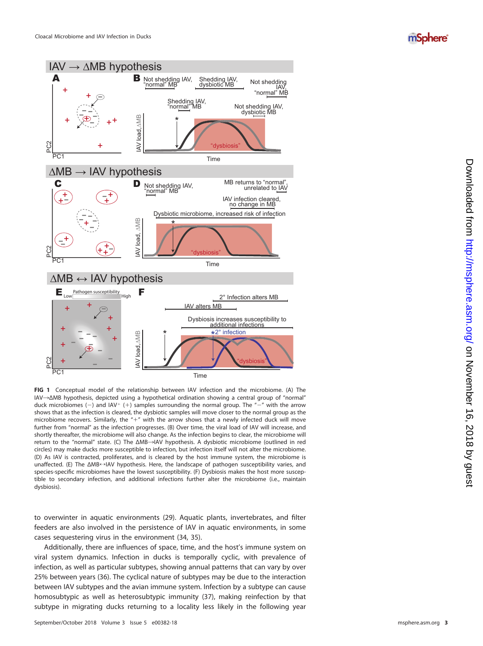### mSphere®



<span id="page-2-0"></span>**FIG 1** Conceptual model of the relationship between IAV infection and the microbiome. (A) The IAV ¡ΔMB hypothesis, depicted using a hypothetical ordination showing a central group of "normal" duck microbiomes (-) and  $IAV^+$  (+) samples surrounding the normal group. The "-" with the arrow shows that as the infection is cleared, the dysbiotic samples will move closer to the normal group as the microbiome recovers. Similarly, the "+" with the arrow shows that a newly infected duck will move further from "normal" as the infection progresses. (B) Over time, the viral load of IAV will increase, and shortly thereafter, the microbiome will also change. As the infection begins to clear, the microbiome will return to the "normal" state. (C) The ΔMB->IAV hypothesis. A dysbiotic microbiome (outlined in red circles) may make ducks more susceptible to infection, but infection itself will not alter the microbiome. (D) As IAV is contracted, proliferates, and is cleared by the host immune system, the microbiome is unaffected. (E) The ΔMB←IAV hypothesis. Here, the landscape of pathogen susceptibility varies, and species-specific microbiomes have the lowest susceptibility. (F) Dysbiosis makes the host more susceptible to secondary infection, and additional infections further alter the microbiome (i.e., maintain dysbiosis).

to overwinter in aquatic environments [\(29\)](#page-13-27). Aquatic plants, invertebrates, and filter feeders are also involved in the persistence of IAV in aquatic environments, in some cases sequestering virus in the environment [\(34](#page-14-3) , [35\)](#page-14-4).

Additionally, there are influences of space, time, and the host's immune system on viral system dynamics. Infection in ducks is temporally cyclic, with prevalence of infection, as well as particular subtypes, showing annual patterns that can vary by over 25% between years [\(36\)](#page-14-5). The cyclical nature of subtypes may be due to the interaction between IAV subtypes and the avian immune system. Infection by a subtype can cause homosubtypic as well as heterosubtypic immunity [\(37\)](#page-14-6), making reinfection by that subtype in migrating ducks returning to a locality less likely in the following year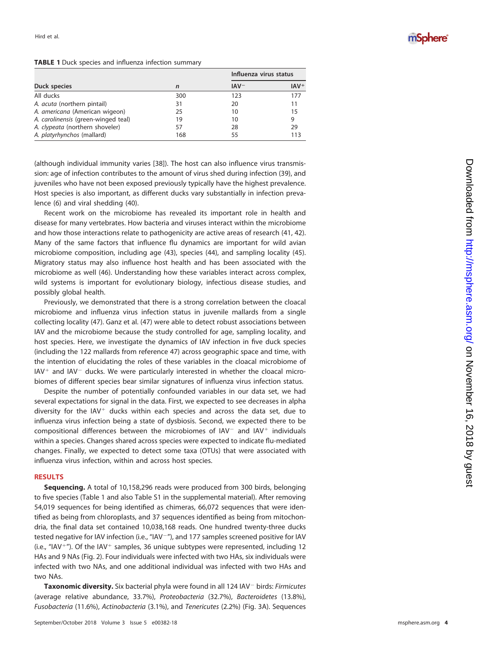#### <span id="page-3-0"></span>**TABLE 1** Duck species and influenza infection summary

|                                     |             | Influenza virus status |        |
|-------------------------------------|-------------|------------------------|--------|
| Duck species                        | $\mathbf n$ | $IAV^-$                | $IAV+$ |
| All ducks                           | 300         | 123                    | 177    |
| A. <i>acuta</i> (northern pintail)  | 31          | 20                     | 11     |
| A. americana (American wigeon)      | 25          | 10                     | 15     |
| A. carolinensis (green-winged teal) | 19          | 10                     | 9      |
| A. clypeata (northern shoveler)     | 57          | 28                     | 29     |
| A. platyrhynchos (mallard)          | 168         | 55                     | 113    |

(although individual immunity varies [\[38\]](#page-14-7)). The host can also influence virus transmission: age of infection contributes to the amount of virus shed during infection [\(39\)](#page-14-8), and juveniles who have not been exposed previously typically have the highest prevalence. Host species is also important, as different ducks vary substantially in infection prevalence [\(6\)](#page-13-5) and viral shedding [\(40\)](#page-14-9).

Recent work on the microbiome has revealed its important role in health and disease for many vertebrates. How bacteria and viruses interact within the microbiome and how those interactions relate to pathogenicity are active areas of research [\(41](#page-14-10) , [42\)](#page-14-11). Many of the same factors that influence flu dynamics are important for wild avian microbiome composition, including age [\(43\)](#page-14-12), species [\(44\)](#page-14-13), and sampling locality [\(45\)](#page-14-14). Migratory status may also influence host health and has been associated with the microbiome as well [\(46\)](#page-14-15). Understanding how these variables interact across complex, wild systems is important for evolutionary biology, infectious disease studies, and possibly global health.

Previously, we demonstrated that there is a strong correlation between the cloacal microbiome and influenza virus infection status in juvenile mallards from a single collecting locality [\(47\)](#page-14-16). Ganz et al. [\(47\)](#page-14-16) were able to detect robust associations between IAV and the microbiome because the study controlled for age, sampling locality, and host species. Here, we investigate the dynamics of IAV infection in five duck species (including the 122 mallards from reference [47\)](#page-14-16) across geographic space and time, with the intention of elucidating the roles of these variables in the cloacal microbiome of  $IAV<sup>+</sup>$  and  $IAV<sup>-</sup>$  ducks. We were particularly interested in whether the cloacal microbiomes of different species bear similar signatures of influenza virus infection status.

Despite the number of potentially confounded variables in our data set, we had several expectations for signal in the data. First, we expected to see decreases in alpha diversity for the IAV<sup>+</sup> ducks within each species and across the data set, due to influenza virus infection being a state of dysbiosis. Second, we expected there to be compositional differences between the microbiomes of  $IAV<sup>-</sup>$  and  $IAV<sup>+</sup>$  individuals within a species. Changes shared across species were expected to indicate flu-mediated changes. Finally, we expected to detect some taxa (OTUs) that were associated with influenza virus infection, within and across host species.

#### **RESULTS**

**Sequencing.** A total of 10,158,296 reads were produced from 300 birds, belonging to five species [\(Table 1](#page-3-0) and also Table S1 in the supplemental material). After removing 54,019 sequences for being identified as chimeras, 66,072 sequences that were identified as being from chloroplasts, and 37 sequences identified as being from mitochondria, the final data set contained 10,038,168 reads. One hundred twenty-three ducks tested negative for IAV infection (i.e., "IAV<sup>-"</sup>), and 177 samples screened positive for IAV (i.e., "IAV<sup>+</sup>"). Of the IAV<sup>+</sup> samples, 36 unique subtypes were represented, including 12 HAs and 9 NAs [\(Fig. 2\)](#page-4-0). Four individuals were infected with two HAs, six individuals were infected with two NAs, and one additional individual was infected with two HAs and two NAs.

Taxonomic diversity. Six bacterial phyla were found in all 124 IAV<sup>-</sup> birds: Firmicutes (average relative abundance, 33.7%), Proteobacteria (32.7%), Bacteroidetes (13.8%), Fusobacteria (11.6%), Actinobacteria (3.1%), and Tenericutes (2.2%) [\(Fig. 3A\).](#page-5-0) Sequences

### mSphere®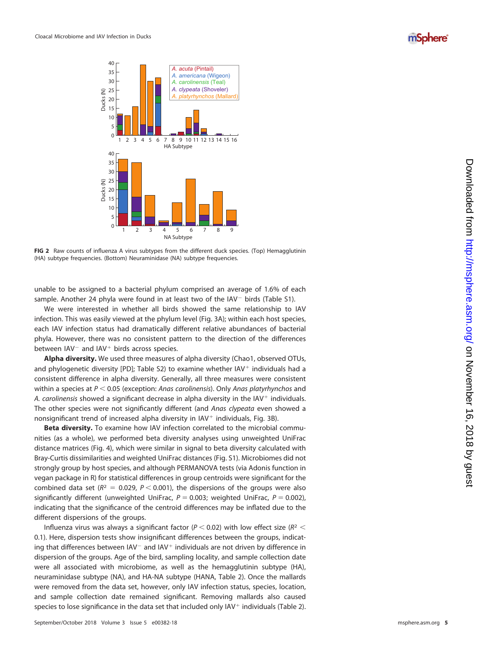



<span id="page-4-0"></span>**FIG 2** Raw counts of influenza A virus subtypes from the different duck species. (Top) Hemagglutinin (HA) subtype frequencies. (Bottom) Neuraminidase (NA) subtype frequencies.

unable to be assigned to a bacterial phylum comprised an average of 1.6% of each sample. Another 24 phyla were found in at least two of the IAV<sup>-</sup> birds (Table S1).

We were interested in whether all birds showed the same relationship to IAV infection. This was easily viewed at the phylum level [\(Fig. 3A\)](#page-5-0); within each host species, each IAV infection status had dramatically different relative abundances of bacterial phyla. However, there was no consistent pattern to the direction of the differences between IAV<sup>-</sup> and IAV<sup>+</sup> birds across species.

**Alpha diversity.** We used three measures of alpha diversity (Chao1, observed OTUs, and phylogenetic diversity [PD]; Table S2) to examine whether IAV<sup>+</sup> individuals had a consistent difference in alpha diversity. Generally, all three measures were consistent within a species at  $P < 0.05$  (exception: Anas carolinensis). Only Anas platyrhynchos and A. carolinensis showed a significant decrease in alpha diversity in the IAV<sup>+</sup> individuals. The other species were not significantly different (and Anas clypeata even showed a nonsignificant trend of increased alpha diversity in IAV - individuals, [Fig. 3B\)](#page-5-0).

**Beta diversity.** To examine how IAV infection correlated to the microbial communities (as a whole), we performed beta diversity analyses using unweighted UniFrac distance matrices [\(Fig. 4\)](#page-6-0), which were similar in signal to beta diversity calculated with Bray-Curtis dissimilarities and weighted UniFrac distances (Fig. S1). Microbiomes did not strongly group by host species, and although PERMANOVA tests (via Adonis function in vegan package in R) for statistical differences in group centroids were significant for the combined data set ( $R^2 = 0.029$ ,  $P < 0.001$ ), the dispersions of the groups were also significantly different (unweighted UniFrac,  $P = 0.003$ ; weighted UniFrac,  $P = 0.002$ ), indicating that the significance of the centroid differences may be inflated due to the different dispersions of the groups.

Influenza virus was always a significant factor ( $P < 0.02$ ) with low effect size ( $R<sup>2</sup>$ 0.1). Here, dispersion tests show insignificant differences between the groups, indicating that differences between  $IAV^-$  and  $IAV^+$  individuals are not driven by difference in dispersion of the groups. Age of the bird, sampling locality, and sample collection date were all associated with microbiome, as well as the hemagglutinin subtype (HA), neuraminidase subtype (NA), and HA-NA subtype (HANA, [Table 2\)](#page-7-0). Once the mallards were removed from the data set, however, only IAV infection status, species, location, and sample collection date remained significant. Removing mallards also caused species to lose significance in the data set that included only IAV<sup>+</sup> individuals [\(Table 2\)](#page-7-0).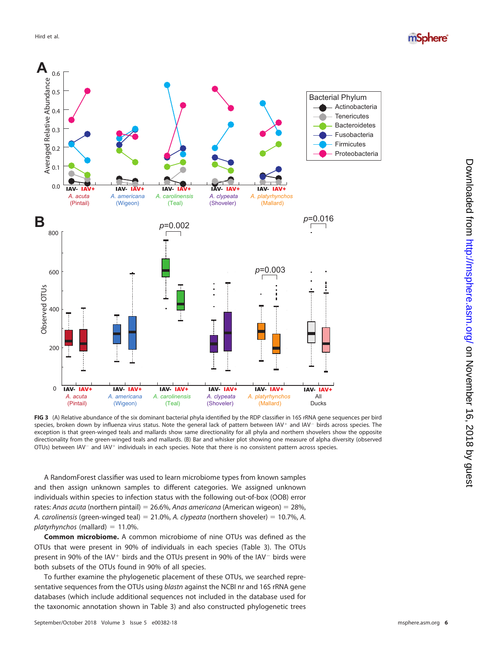



<span id="page-5-0"></span>**FIG 3** (A) Relative abundance of the six dominant bacterial phyla identified by the RDP classifier in 16S rRNA gene sequences per bird species, broken down by influenza virus status. Note the general lack of pattern between IAV<sup>+</sup> and IAV<sup>-</sup> birds across species. The exception is that green-winged teals and mallards show same directionality for all phyla and northern shovelers show the opposite directionality from the green-winged teals and mallards. (B) Bar and whisker plot showing one measure of alpha diversity (observed OTUs) between IAV<sup>-</sup> and IAV<sup>+</sup> individuals in each species. Note that there is no consistent pattern across species.

A RandomForest classifier was used to learn microbiome types from known samples and then assign unknown samples to different categories. We assigned unknown individuals within species to infection status with the following out-of-box (OOB) error rates: Anas acuta (northern pintail) = 26.6%, Anas americana (American wigeon) =  $28\%$ , A. carolinensis (green-winged teal) = 21.0%, A. clypeata (northern shoveler) = 10.7%, A. platyrhynchos (mallard)  $= 11.0\%$ .

**Common microbiome.** A common microbiome of nine OTUs was defined as the OTUs that were present in 90% of individuals in each species [\(Table 3\)](#page-8-0). The OTUs present in 90% of the IAV<sup>+</sup> birds and the OTUs present in 90% of the IAV<sup>-</sup> birds were both subsets of the OTUs found in 90% of all species.

To further examine the phylogenetic placement of these OTUs, we searched representative sequences from the OTUs using blastn against the NCBI nr and 16S rRNA gene databases (which include additional sequences not included in the database used for the taxonomic annotation shown in [Table 3\)](#page-8-0) and also constructed phylogenetic trees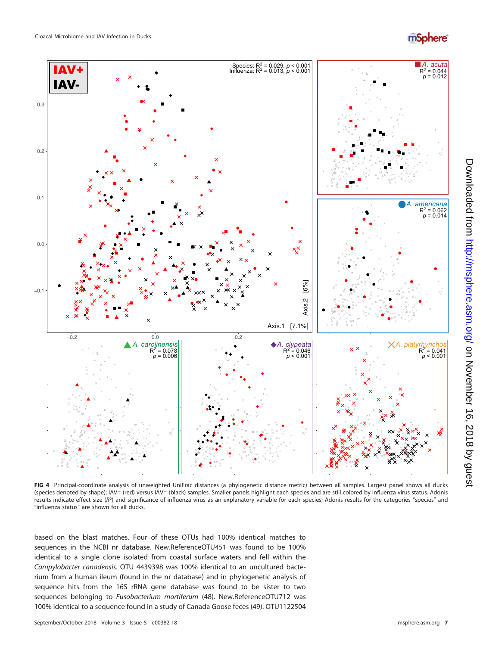## *mSphere*<sup>®</sup>



<span id="page-6-0"></span>FIG 4 Principal-coordinate analysis of unweighted UniFrac distances (a phylogenetic distance metric) between all samples. Largest panel shows all ducks (species denoted by shape); IAV+ (red) versus IAV- (black) samples. Smaller panels highlight each species and are still colored by influenza virus status. Adonis results indicate effect size (R<sup>2</sup>) and significance of influenza virus as an explanatory variable for each species; Adonis results for the categories "species" and "influenza status" are shown for all ducks.

based on the blast matches. Four of these OTUs had 100% identical matches to sequences in the NCBI nr database. New.ReferenceOTU451 was found to be 100% identical to a single clone isolated from coastal surface waters and fell within the Campylobacter canadensis. OTU 4439398 was 100% identical to an uncultured bacterium from a human ileum (found in the nr database) and in phylogenetic analysis of sequence hits from the 16S rRNA gene database was found to be sister to two sequences belonging to Fusobacterium mortiferum [\(48\)](#page-14-17). New.ReferenceOTU712 was 100% identical to a sequence found in a study of Canada Goose feces [\(49\)](#page-14-18). OTU1122504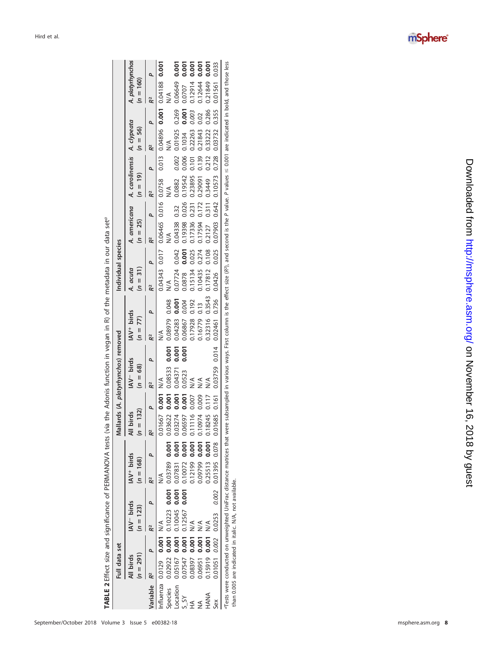|          | Full data set                                                                                                                                                                                                                                                                             |           |                                       |       |                                       |                             |           |               | Mallards (A. platyrhynchos) removed                             |       |                                                |        |                        | Individual species |                                                 |                      |                                                        |       |               |       |                                 |       |
|----------|-------------------------------------------------------------------------------------------------------------------------------------------------------------------------------------------------------------------------------------------------------------------------------------------|-----------|---------------------------------------|-------|---------------------------------------|-----------------------------|-----------|---------------|-----------------------------------------------------------------|-------|------------------------------------------------|--------|------------------------|--------------------|-------------------------------------------------|----------------------|--------------------------------------------------------|-------|---------------|-------|---------------------------------|-------|
|          | $(n = 291)$<br>All birds                                                                                                                                                                                                                                                                  |           | IAV <sup>-</sup> birds<br>$(n = 123)$ |       | IAV <sup>+</sup> birds<br>$(n = 168)$ |                             | $n = 132$ | birds         | IAV <sup>-</sup> birds<br>$(n = 68)$                            |       | IAV <sup>+</sup> birds<br>77)<br>$\frac{1}{2}$ |        | A. acuta<br>$(n = 31)$ |                    | $(n = 25)$                                      |                      | A. americana A. carolinensis A. clypeata<br>$(n = 19)$ |       | $(n = 56)$    |       | A. platyrhynchos<br>$(n = 160)$ |       |
| Variable |                                                                                                                                                                                                                                                                                           |           |                                       |       |                                       |                             |           | ۵             | R2                                                              | ٩     | R2                                             | ۵      | R <sup>2</sup>         | ۵                  | R2                                              | ٩                    | R <sup>2</sup>                                         | ۵     |               | ٩     | R <sup>2</sup>                  |       |
|          | Influenza 0.0129                                                                                                                                                                                                                                                                          | 0.001 N/A |                                       |       | $\frac{1}{2}$                         |                             |           | 0.01667 0.001 | $\frac{1}{2}$                                                   |       | $\frac{1}{2}$                                  |        |                        | 0.04343 0.017      |                                                 | 0.06465 0.016 0.0758 |                                                        | 0.013 | 0.04896 0.001 |       | 0.04188 0.001                   |       |
| Species  | 0.02922                                                                                                                                                                                                                                                                                   |           | $0.001$ $0.10223$                     |       |                                       | 0.001 0.03789 0.001 0.03622 |           | 0.001         | 0.08533                                                         | 0.001 | 0.08979                                        | 0.048  | $\leq$                 |                    | $\frac{1}{2}$                                   |                      | $\lesssim$                                             |       | $\leq$        |       | $\leq$                          |       |
| Location | 0.05167                                                                                                                                                                                                                                                                                   |           | 0.001 0.10045                         | 0.001 | 0.07831                               | 0.001                       | 0.03274   | <b>D.001</b>  | 0.04371                                                         | 0.001 | 0.04283                                        | 0.001  | 0.07724                | 0.042              | 0.04338                                         | 0.32                 | 0.0882                                                 | 0.002 | 0.01925       | 0.269 | 0.06649                         | 0.001 |
|          | 0.07547                                                                                                                                                                                                                                                                                   | 0.001     | 0.12567                               | 0.001 | 1,10072                               | 0.001                       | 0.06597   |               | 0.0523                                                          | 0.001 | 0.06867                                        | 0.004  | 0.0878                 | 0.001              | 0.19398                                         | 0.026                | 0.19542                                                | 0.006 | 0.1034        | 0.001 | 0.0707                          | 0.001 |
|          | 0.08397                                                                                                                                                                                                                                                                                   | 0.001     | くく                                    |       | 12199                                 | 0.001                       | 0.11116   | 00.0          | くく                                                              |       | 0.17928                                        | 0.192  | 0.15134                | 0.025              | 0.17336                                         | 0.231                | 0.23895                                                | 0.101 | 0.22263       | 0.003 | 12914                           | 0.001 |
|          | 0.06951                                                                                                                                                                                                                                                                                   | 0.001     |                                       |       |                                       | 0.09799 0.001 0.10974       |           | 0.009         | ⋚                                                               |       | 0.16779                                        | 0.13   | 0.10435                | 0.274              | 0.17594                                         | 0.172                | 0.29091                                                | 0.139 | 0.21843       | 0.02  | 0.12644                         | 0.001 |
| HANA     | $0.15919$ 0.001                                                                                                                                                                                                                                                                           |           |                                       |       |                                       | 0.25513 0.001 0.18245       |           | 0.117         | ∖∕<br>∕                                                         |       | 0.32316                                        | 0.3543 | 0.17812                | 0.108              | 0.2127                                          | 0.311                | 0.3449                                                 | 0.212 | 0.33222       | 0.286 | 0.21849                         | 0.001 |
| Sex      |                                                                                                                                                                                                                                                                                           |           | 0.01051 0.002 0.0253                  |       |                                       |                             |           |               | $0.002$ 0.01395 0.078 0.01685 0.161 0.03759 0.014 0.02461 0.736 |       |                                                |        | 0.0426                 |                    | 0.025 0.07903 0.642 0.10573 0.728 0.03732 0.355 |                      |                                                        |       |               |       | 0.01561 0.033                   |       |
|          | Tests were conducted on unweighted UniFrac distance matrices that were subsampled in various ways. First column is the effect size (RP), and second is the P value. P values $\leq$ 0.001 are indicated in bold, and those les<br>than 0.005 are indicated in italic. N/A, not available. |           |                                       |       |                                       |                             |           |               |                                                                 |       |                                                |        |                        |                    |                                                 |                      |                                                        |       |               |       |                                 |       |

<span id="page-7-0"></span>

| ;<br>נ           |  |
|------------------|--|
|                  |  |
|                  |  |
|                  |  |
|                  |  |
|                  |  |
|                  |  |
|                  |  |
|                  |  |
|                  |  |
|                  |  |
|                  |  |
|                  |  |
|                  |  |
| ļ                |  |
|                  |  |
|                  |  |
|                  |  |
|                  |  |
|                  |  |
|                  |  |
|                  |  |
|                  |  |
|                  |  |
| :<br>:<br>:<br>: |  |
|                  |  |
|                  |  |
|                  |  |
|                  |  |
|                  |  |
|                  |  |
|                  |  |
|                  |  |
|                  |  |
|                  |  |
|                  |  |
|                  |  |
|                  |  |
|                  |  |
|                  |  |
|                  |  |
|                  |  |
|                  |  |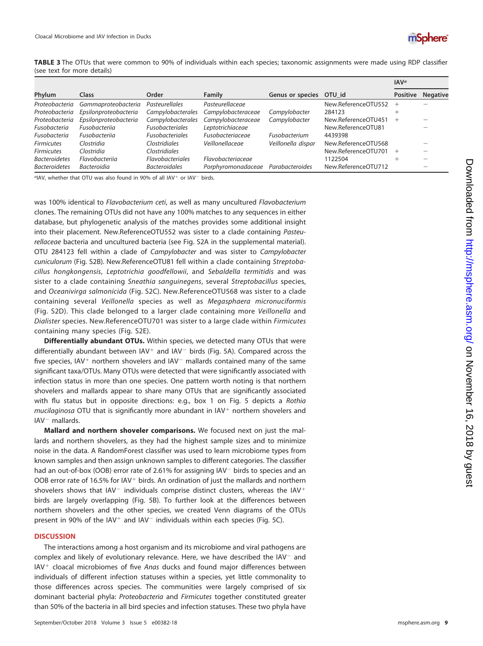

<span id="page-8-0"></span>**TABLE 3** The OTUs that were common to 90% of individuals within each species; taxonomic assignments were made using RDP classifier (see text for more details)

|                      |                       |                         |                         |                         |                     | IAV <sup>a</sup> |                 |
|----------------------|-----------------------|-------------------------|-------------------------|-------------------------|---------------------|------------------|-----------------|
| Phylum               | Class                 | Order                   | Family                  | Genus or species OTU_id |                     | <b>Positive</b>  | <b>Negative</b> |
| Proteobacteria       | Gammaproteobacteria   | <b>Pasteurellales</b>   | Pasteurellaceae         |                         | New.ReferenceOTU552 | $^+$             |                 |
| Proteobacteria       | Epsilonproteobacteria | Campylobacterales       | Campylobacteraceae      | Campylobacter           | 284123              |                  |                 |
| Proteobacteria       | Epsilonproteobacteria | Campylobacterales       | Campylobacteraceae      | Campylobacter           | New.ReferenceOTU451 |                  |                 |
| Fusobacteria         | Fusobacterija         | <b>Fusobacteriales</b>  | Leptotrichiaceae        |                         | New.ReferenceOTU81  |                  |                 |
| Fusobacteria         | Fusobacterija         | <b>Fusobacteriales</b>  | <b>Fusobacteriaceae</b> | Fusobacterium           | 4439398             |                  |                 |
| <b>Firmicutes</b>    | Clostridia            | Clostridiales           | Veillonellaceae         | Veillonella dispar      | New.ReferenceOTU568 |                  |                 |
| <b>Firmicutes</b>    | Clostridia            | <b>Clostridiales</b>    |                         |                         | New.ReferenceOTU701 |                  |                 |
| <b>Bacteroidetes</b> | Flavobacterija        | <b>Flavobacteriales</b> | Flavobacteriaceae       |                         | 1122504             |                  |                 |
| <b>Bacteroidetes</b> | <i>Bacteroidia</i>    | <b>Bacteroidales</b>    | Porphyromonadaceae      | Parabacteroides         | New.ReferenceOTU712 |                  |                 |

 $a$ IAV, whether that OTU was also found in 90% of all IAV<sup>+</sup> or IAV<sup>-</sup> birds.

was 100% identical to Flavobacterium ceti, as well as many uncultured Flavobacterium clones. The remaining OTUs did not have any 100% matches to any sequences in either database, but phylogenetic analysis of the matches provides some additional insight into their placement. New.ReferenceOTU552 was sister to a clade containing Pasteurellaceae bacteria and uncultured bacteria (see Fig. S2A in the supplemental material). OTU 284123 fell within a clade of Campylobacter and was sister to Campylobacter cuniculorum (Fig. S2B). New.ReferenceOTU81 fell within a clade containing Streptobacillus hongkongensis, Leptotrichia goodfellowii, and Sebaldella termitidis and was sister to a clade containing Sneathia sanguinegens, several Streptobacillus species, and Oceanivirga salmonicida (Fig. S2C). New.ReferenceOTU568 was sister to a clade containing several Veillonella species as well as Megasphaera micronuciformis (Fig. S2D). This clade belonged to a larger clade containing more Veillonella and Dialister species. New.ReferenceOTU701 was sister to a large clade within Firmicutes containing many species (Fig. S2E).

**Differentially abundant OTUs.** Within species, we detected many OTUs that were differentially abundant between  $IAV<sup>+</sup>$  and  $IAV<sup>-</sup>$  birds [\(Fig. 5A\)](#page-9-0). Compared across the five species, IAV<sup>+</sup> northern shovelers and IAV<sup>-</sup> mallards contained many of the same significant taxa/OTUs. Many OTUs were detected that were significantly associated with infection status in more than one species. One pattern worth noting is that northern shovelers and mallards appear to share many OTUs that are significantly associated with flu status but in opposite directions: e.g., box 1 on [Fig. 5](#page-9-0) depicts a Rothia mucilaginosa OTU that is significantly more abundant in IAV<sup>+</sup> northern shovelers and  $IAV^-$  mallards.

**Mallard and northern shoveler comparisons.** We focused next on just the mallards and northern shovelers, as they had the highest sample sizes and to minimize noise in the data. A RandomForest classifier was used to learn microbiome types from known samples and then assign unknown samples to different categories. The classifier had an out-of-box (OOB) error rate of 2.61% for assigning  $IAV^-$  birds to species and an OOB error rate of 16.5% for  $IAV<sup>+</sup>$  birds. An ordination of just the mallards and northern shovelers shows that IAV<sup>-</sup> individuals comprise distinct clusters, whereas the IAV<sup>+</sup> birds are largely overlapping [\(Fig. 5B\)](#page-9-0). To further look at the differences between northern shovelers and the other species, we created Venn diagrams of the OTUs present in 90% of the IAV<sup>+</sup> and IAV<sup>-</sup> individuals within each species [\(Fig. 5C\)](#page-9-0).

#### **DISCUSSION**

The interactions among a host organism and its microbiome and viral pathogens are complex and likely of evolutionary relevance. Here, we have described the  $IAV^-$  and IAV<sup>+</sup> cloacal microbiomes of five Anas ducks and found major differences between individuals of different infection statuses within a species, yet little commonality to those differences across species. The communities were largely comprised of six dominant bacterial phyla: Proteobacteria and Firmicutes together constituted greater than 50% of the bacteria in all bird species and infection statuses. These two phyla have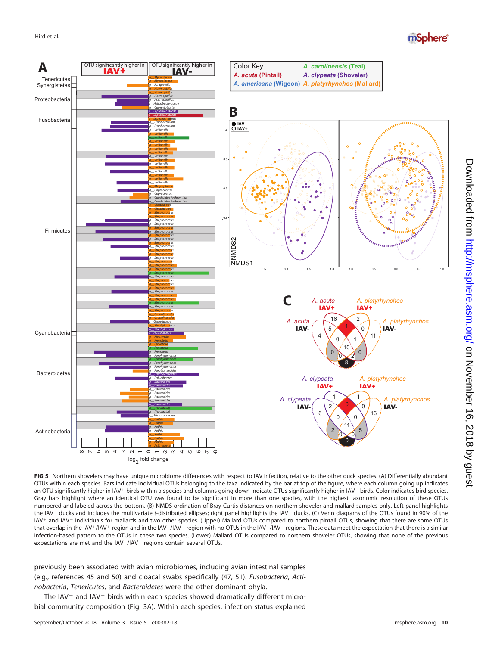

<span id="page-9-0"></span>**FIG 5** Northern shovelers may have unique microbiome differences with respect to IAV infection, relative to the other duck species. (A) Differentially abundant OTUs within each species. Bars indicate individual OTUs belonging to the taxa indicated by the bar at top of the figure, where each column going up indicates an OTU significantly higher in IAV+ birds within a species and columns going down indicate OTUs significantly higher in IAV- birds. Color indicates bird species. Gray bars highlight where an identical OTU was found to be significant in more than one species, with the highest taxonomic resolution of these OTUs numbered and labeled across the bottom. (B) NMDS ordination of Bray-Curtis distances on northern shoveler and mallard samples only. Left panel highlights the IAV- ducks and includes the multivariate t-distributed ellipses; right panel highlights the IAV+ ducks. (C) Venn diagrams of the OTUs found in 90% of the IAV<sup>+</sup> and IAV<sup>-</sup> individuals for mallards and two other species. (Upper) Mallard OTUs compared to northern pintail OTUs, showing that there are some OTUs that overlap in the IAV+/IAV+ region and in the IAV-/IAV- region with no OTUs in the IAV+/IAV- regions. These data meet the expectation that there is a similar infection-based pattern to the OTUs in these two species. (Lower) Mallard OTUs compared to northern shoveler OTUs, showing that none of the previous expectations are met and the IAV+/IAV- regions contain several OTUs.

previously been associated with avian microbiomes, including avian intestinal samples (e.g., references [45](#page-14-14) and [50\)](#page-14-19) and cloacal swabs specifically [\(47,](#page-14-16) [51\)](#page-14-20). Fusobacteria, Actinobacteria, Tenericutes, and Bacteroidetes were the other dominant phyla.

The IAV $-$  and IAV $+$  birds within each species showed dramatically different microbial community composition [\(Fig. 3A\)](#page-5-0). Within each species, infection status explained mSphere®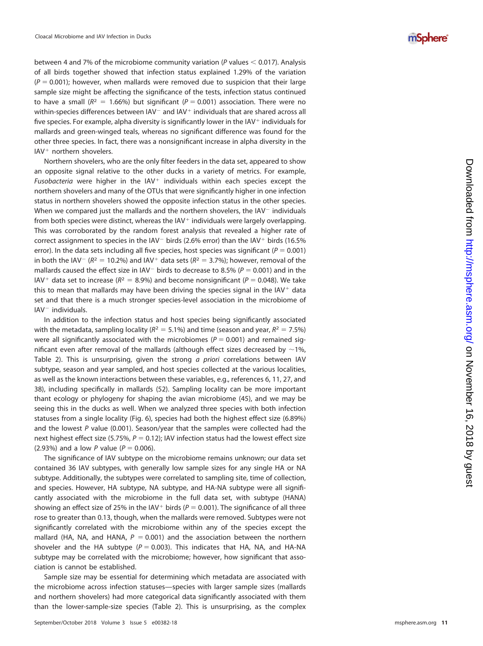between 4 and 7% of the microbiome community variation (P values  $<$  0.017). Analysis of all birds together showed that infection status explained 1.29% of the variation  $(P = 0.001)$ ; however, when mallards were removed due to suspicion that their large sample size might be affecting the significance of the tests, infection status continued to have a small ( $R^2 = 1.66\%$ ) but significant ( $P = 0.001$ ) association. There were no within-species differences between  $IAV^-$  and  $IAV^+$  individuals that are shared across all five species. For example, alpha diversity is significantly lower in the IAV $^+$  individuals for mallards and green-winged teals, whereas no significant difference was found for the other three species. In fact, there was a nonsignificant increase in alpha diversity in the IAV - northern shovelers.

Northern shovelers, who are the only filter feeders in the data set, appeared to show an opposite signal relative to the other ducks in a variety of metrics. For example, Fusobacteria were higher in the  $IAV<sup>+</sup>$  individuals within each species except the northern shovelers and many of the OTUs that were significantly higher in one infection status in northern shovelers showed the opposite infection status in the other species. When we compared just the mallards and the northern shovelers, the  $IAV^-$  individuals from both species were distinct, whereas the IAV<sup>+</sup> individuals were largely overlapping. This was corroborated by the random forest analysis that revealed a higher rate of correct assignment to species in the IAV<sup>-</sup> birds (2.6% error) than the IAV<sup>+</sup> birds (16.5% error). In the data sets including all five species, host species was significant ( $P = 0.001$ ) in both the IAV<sup>-</sup> ( $R^2 = 10.2\%$ ) and IAV<sup>+</sup> data sets ( $R^2 = 3.7\%$ ); however, removal of the mallards caused the effect size in IAV<sup>-</sup> birds to decrease to 8.5% ( $P = 0.001$ ) and in the IAV<sup>+</sup> data set to increase ( $R^2 = 8.9%$ ) and become nonsignificant ( $P = 0.048$ ). We take this to mean that mallards may have been driving the species signal in the  $IAV<sup>+</sup>$  data set and that there is a much stronger species-level association in the microbiome of IAV individuals.

In addition to the infection status and host species being significantly associated with the metadata, sampling locality ( $R^2 = 5.1\%$ ) and time (season and year,  $R^2 = 7.5\%$ ) were all significantly associated with the microbiomes ( $P = 0.001$ ) and remained significant even after removal of the mallards (although effect sizes decreased by  $\sim$ 1%, [Table 2\)](#page-7-0). This is unsurprising, given the strong *a priori* correlations between IAV subtype, season and year sampled, and host species collected at the various localities, as well as the known interactions between these variables, e.g., references [6](#page-13-5) , [11](#page-13-10) , [27,](#page-13-25) and [38\)](#page-14-7), including specifically in mallards [\(52\)](#page-14-21). Sampling locality can be more important thant ecology or phylogeny for shaping the avian microbiome [\(45\)](#page-14-14), and we may be seeing this in the ducks as well. When we analyzed three species with both infection statuses from a single locality [\(Fig. 6\)](#page-11-0), species had both the highest effect size (6.89%) and the lowest P value (0.001). Season/year that the samples were collected had the next highest effect size (5.75%,  $P = 0.12$ ); IAV infection status had the lowest effect size (2.93%) and a low P value ( $P = 0.006$ ).

The significance of IAV subtype on the microbiome remains unknown; our data set contained 36 IAV subtypes, with generally low sample sizes for any single HA or NA subtype. Additionally, the subtypes were correlated to sampling site, time of collection, and species. However, HA subtype, NA subtype, and HA-NA subtype were all significantly associated with the microbiome in the full data set, with subtype (HANA) showing an effect size of 25% in the IAV<sup>+</sup> birds ( $P = 0.001$ ). The significance of all three rose to greater than 0.13, though, when the mallards were removed. Subtypes were not significantly correlated with the microbiome within any of the species except the mallard (HA, NA, and HANA,  $P = 0.001$ ) and the association between the northern shoveler and the HA subtype ( $P = 0.003$ ). This indicates that HA, NA, and HA-NA subtype may be correlated with the microbiome; however, how significant that association is cannot be established.

Sample size may be essential for determining which metadata are associated with the microbiome across infection statuses—species with larger sample sizes (mallards and northern shovelers) had more categorical data significantly associated with them than the lower-sample-size species [\(Table 2\)](#page-7-0). This is unsurprising, as the complex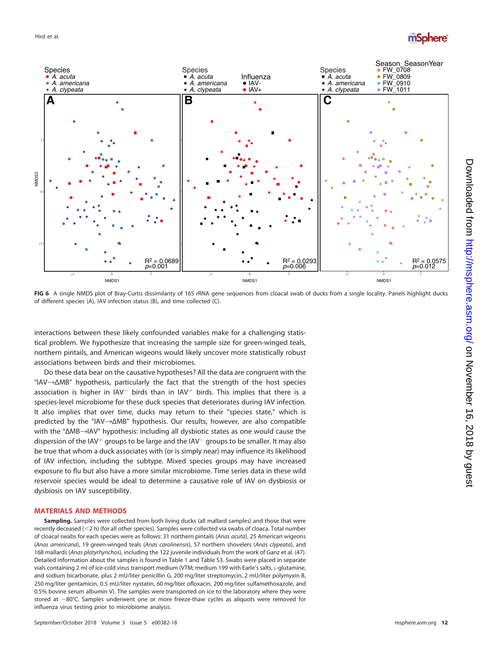



<span id="page-11-0"></span>FIG 6 A single NMDS plot of Bray-Curtis dissimilarity of 16S rRNA gene sequences from cloacal swab of ducks from a single locality. Panels highlight ducks of different species (A), IAV infection status (B), and time collected (C).

interactions between these likely confounded variables make for a challenging statistical problem. We hypothesize that increasing the sample size for green-winged teals, northern pintails, and American wigeons would likely uncover more statistically robust associations between birds and their microbiomes.

Do these data bear on the causative hypotheses? All the data are congruent with the "IAV $\rightarrow$  $\Delta$ MB" hypothesis, particularly the fact that the strength of the host species association is higher in  $IAV^-$  birds than in  $IAV^+$  birds. This implies that there is a species-level microbiome for these duck species that deteriorates during IAV infection. It also implies that over time, ducks may return to their "species state," which is predicted by the "IAV $\rightarrow$  $\triangle$ MB" hypothesis. Our results, however, are also compatible with the " $\Delta$ MB $\rightarrow$ IAV" hypothesis: including all dysbiotic states as one would cause the dispersion of the IAV<sup>+</sup> groups to be large and the IAV<sup>-</sup> groups to be smaller. It may also be true that whom a duck associates with (or is simply near) may influence its likelihood of IAV infection, including the subtype. Mixed species groups may have increased exposure to flu but also have a more similar microbiome. Time series data in these wild reservoir species would be ideal to determine a causative role of IAV on dysbiosis or dysbiosis on IAV susceptibility.

#### **MATERIALS AND METHODS**

**Sampling.** Samples were collected from both living ducks (all mallard samples) and those that were recently deceased (<2 h) (for all other species). Samples were collected via swabs of cloaca. Total number of cloacal swabs for each species were as follows: 31 northern pintails (Anas acuta), 25 American wigeons (Anas americana), 19 green-winged teals (Anas carolinensis), 57 northern shovelers (Anas clypeata), and 168 mallards (Anas platyrhynchos), including the 122 juvenile individuals from the work of Ganz et al. [\(47\)](#page-14-16). Detailed information about the samples is found in [Table 1](#page-3-0) and Table S3. Swabs were placed in separate vials containing 2 ml of ice-cold virus transport medium (VTM; medium 199 with Earle's salts, L-glutamine, and sodium bicarbonate, plus 2 mU/liter penicillin G, 200 mg/liter streptomycin, 2 mU/liter polymyxin B, 250 mg/liter gentamicin, 0.5 mU/liter nystatin, 60 mg/liter ofloxacin, 200 mg/liter sulfamethoxazole, and 0.5% bovine serum albumin V). The samples were transported on ice to the laboratory where they were stored at  $-80^{\circ}$ C. Samples underwent one or more freeze-thaw cycles as aliquots were removed for influenza virus testing prior to microbiome analysis.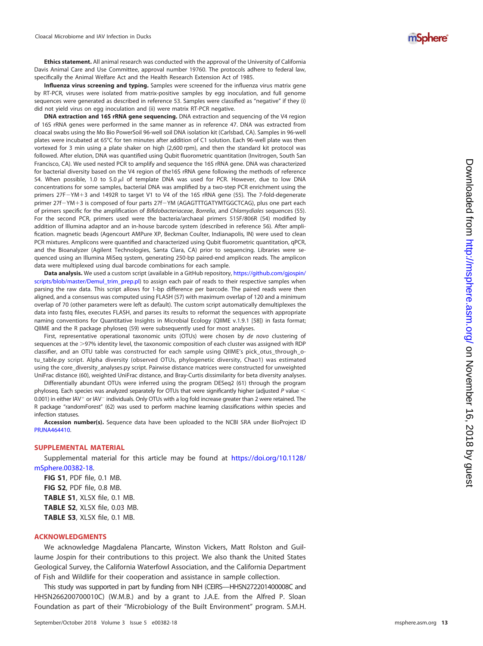**Ethics statement.** All animal research was conducted with the approval of the University of California Davis Animal Care and Use Committee, approval number 19760. The protocols adhere to federal law, specifically the Animal Welfare Act and the Health Research Extension Act of 1985.

**Influenza virus screening and typing.** Samples were screened for the influenza virus matrix gene by RT-PCR, viruses were isolated from matrix-positive samples by egg inoculation, and full genome sequences were generated as described in reference [53.](#page-14-22) Samples were classified as "negative" if they (i) did not yield virus on egg inoculation and (ii) were matrix RT-PCR negative.

**DNA extraction and 16S rRNA gene sequencing.** DNA extraction and sequencing of the V4 region of 16S rRNA genes were performed in the same manner as in reference [47.](#page-14-16) DNA was extracted from cloacal swabs using the Mo Bio PowerSoil 96-well soil DNA isolation kit (Carlsbad, CA). Samples in 96-well plates were incubated at 65°C for ten minutes after addition of C1 solution. Each 96-well plate was then vortexed for 3 min using a plate shaker on high (2,600 rpm), and then the standard kit protocol was followed. After elution, DNA was quantified using Qubit fluorometric quantitation (Invitrogen, South San Francisco, CA). We used nested PCR to amplify and sequence the 16S rRNA gene. DNA was characterized for bacterial diversity based on the V4 region of the16S rRNA gene following the methods of reference [54.](#page-14-23) When possible, 1.0 to 5.0  $\mu$ l of template DNA was used for PCR. However, due to low DNA concentrations for some samples, bacterial DNA was amplified by a two-step PCR enrichment using the primers 27F-YM+3 and 1492R to target V1 to V4 of the 16S rRNA gene [\(55\)](#page-14-24). The 7-fold-degenerate primer 27f-YM+3 is composed of four parts 27f-YM (AGAGTTTGATYMTGGCTCAG), plus one part each of primers specific for the amplification of Bifidobacteriaceae, Borrelia, and Chlamydiales sequences [\(55\)](#page-14-24). For the second PCR, primers used were the bacteria/archaeal primers 515F/806R [\(54\)](#page-14-23) modified by addition of Illumina adaptor and an in-house barcode system (described in reference [56\)](#page-14-25). After amplification. magnetic beads (Agencourt AMPure XP, Beckman Coulter, Indianapolis, IN) were used to clean PCR mixtures. Amplicons were quantified and characterized using Qubit fluorometric quantitation, qPCR, and the Bioanalyzer (Agilent Technologies, Santa Clara, CA) prior to sequencing. Libraries were sequenced using an Illumina MiSeq system, generating 250-bp paired-end amplicon reads. The amplicon data were multiplexed using dual barcode combinations for each sample.

**Data analysis.** We used a custom script (available in a GitHub repository, [https://github.com/gjospin/](https://github.com/gjospin/scripts/blob/master/Demul_trim_prep.pl) [scripts/blob/master/Demul\\_trim\\_prep.pl\)](https://github.com/gjospin/scripts/blob/master/Demul_trim_prep.pl) to assign each pair of reads to their respective samples when parsing the raw data. This script allows for 1-bp difference per barcode. The paired reads were then aligned, and a consensus was computed using FLASH [\(57\)](#page-14-26) with maximum overlap of 120 and a minimum overlap of 70 (other parameters were left as default). The custom script automatically demultiplexes the data into fastg files, executes FLASH, and parses its results to reformat the sequences with appropriate naming conventions for Quantitative Insights in Microbial Ecology (QIIME v.1.9.1 [\[58\]](#page-14-27)) in fasta format; QIIME and the R package phyloseq [\(59\)](#page-14-28) were subsequently used for most analyses.

First, representative operational taxonomic units (OTUs) were chosen by de novo clustering of sequences at the >97% identity level, the taxonomic composition of each cluster was assigned with RDP classifier, and an OTU table was constructed for each sample using QIIME's pick\_otus\_through\_otu\_table.py script. Alpha diversity (observed OTUs, phylogenetic diversity, Chao1) was estimated using the core\_diversity\_analyses.py script. Pairwise distance matrices were constructed for unweighted UniFrac distance [\(60\)](#page-14-29), weighted UniFrac distance, and Bray-Curtis dissimilarity for beta diversity analyses.

Differentially abundant OTUs were inferred using the program DESeq2 [\(61\)](#page-14-30) through the program phyloseq. Each species was analyzed separately for OTUs that were significantly higher (adjusted P value  $<$ 0.001) in either IAV<sup>+</sup> or IAV<sup>-</sup> individuals. Only OTUs with a log fold increase greater than 2 were retained. The R package "randomForest" [\(62\)](#page-14-31) was used to perform machine learning classifications within species and infection statuses.

**Accession number(s).** Sequence data have been uploaded to the NCBI SRA under BioProject ID [PRJNA464410](https://www.ncbi.nlm.nih.gov/bioproject/?term=PRJNA464410) .

#### **SUPPLEMENTAL MATERIAL**

Supplemental material for this article may be found at [https://doi.org/10.1128/](https://doi.org/10.1128/mSphere.00382-18) [mSphere.00382-18](https://doi.org/10.1128/mSphere.00382-18) .

**FIG S1**, PDF file, 0.1 MB. **FIG S2**, PDF file, 0.8 MB. **TABLE S1**, XLSX file, 0.1 MB. **TABLE S2**, XLSX file, 0.03 MB. **TABLE S3**, XLSX file, 0.1 MB.

#### **ACKNOWLEDGMENTS**

We acknowledge Magdalena Plancarte, Winston Vickers, Matt Rolston and Guillaume Jospin for their contributions to this project. We also thank the United States Geological Survey, the California Waterfowl Association, and the California Department of Fish and Wildlife for their cooperation and assistance in sample collection.

This study was supported in part by funding from NIH (CEIRS—HHSN272201400008C and HHSN266200700010C) (W.M.B.) and by a grant to J.A.E. from the Alfred P. Sloan Foundation as part of their "Microbiology of the Built Environment" program. S.M.H.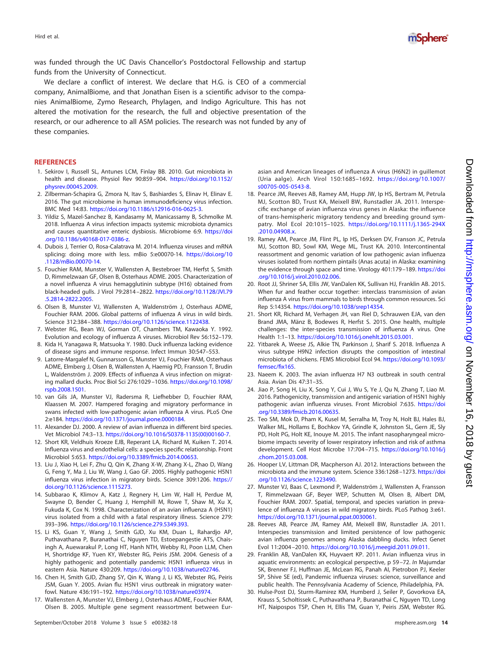Hird et al.



was funded through the UC Davis Chancellor's Postdoctoral Fellowship and startup funds from the University of Connecticut.

We declare a conflict of interest. We declare that H.G. is CEO of a commercial company, AnimalBiome, and that Jonathan Eisen is a scientific advisor to the companies AnimalBiome, Zymo Research, Phylagen, and Indigo Agriculture. This has not altered the motivation for the research, the full and objective presentation of the research, or our adherence to all ASM policies. The research was not funded by any of these companies.

#### <span id="page-13-0"></span>**REFERENCES**

- 1. Sekirov I, Russell SL, Antunes LCM, Finlay BB. 2010. Gut microbiota in health and disease. Physiol Rev 90:859 –904. [https://doi.org/10.1152/](https://doi.org/10.1152/physrev.00045.2009) [physrev.00045.2009.](https://doi.org/10.1152/physrev.00045.2009)
- <span id="page-13-1"></span>2. Zilberman-Schapira G, Zmora N, Itav S, Bashiardes S, Elinav H, Elinav E. 2016. The gut microbiome in human immunodeficiency virus infection. BMC Med 14:83. [https://doi.org/10.1186/s12916-016-0625-3.](https://doi.org/10.1186/s12916-016-0625-3)
- <span id="page-13-2"></span>3. Yildiz S, Mazel-Sanchez B, Kandasamy M, Manicassamy B, Schmolke M. 2018. Influenza A virus infection impacts systemic microbiota dynamics and causes quantitative enteric dysbiosis. Microbiome 6:9. [https://doi](https://doi.org/10.1186/s40168-017-0386-z) [.org/10.1186/s40168-017-0386-z.](https://doi.org/10.1186/s40168-017-0386-z)
- <span id="page-13-3"></span>4. Dubois J, Terrier O, Rosa-Calatrava M. 2014. Influenza viruses and mRNA splicing: doing more with less. mBio 5:e00070-14. [https://doi.org/10](https://doi.org/10.1128/mBio.00070-14) [.1128/mBio.00070-14.](https://doi.org/10.1128/mBio.00070-14)
- <span id="page-13-4"></span>5. Fouchier RAM, Munster V, Wallensten A, Bestebroer TM, Herfst S, Smith D, Rimmelzwaan GF, Olsen B, Osterhaus ADME. 2005. Characterization of a novel influenza A virus hemagglutinin subtype (H16) obtained from black-headed gulls. J Virol 79:2814 –2822. [https://doi.org/10.1128/JVI.79](https://doi.org/10.1128/JVI.79.5.2814-2822.2005) [.5.2814-2822.2005.](https://doi.org/10.1128/JVI.79.5.2814-2822.2005)
- <span id="page-13-5"></span>6. Olsen B, Munster VJ, Wallensten A, Waldenström J, Osterhaus ADME, Fouchier RAM. 2006. Global patterns of influenza A virus in wild birds. Science 312:384 –388. [https://doi.org/10.1126/science.1122438.](https://doi.org/10.1126/science.1122438)
- <span id="page-13-7"></span><span id="page-13-6"></span>7. Webster RG, Bean WJ, Gorman OT, Chambers TM, Kawaoka Y. 1992. Evolution and ecology of influenza A viruses. Microbiol Rev 56:152–179.
- <span id="page-13-8"></span>8. Kida H, Yanagawa R, Matsuoka Y. 1980. Duck influenza lacking evidence of disease signs and immune response. Infect Immun 30:547–553.
- 9. Latorre-Margalef N, Gunnarsson G, Munster VJ, Fouchier RAM, Osterhaus ADME, Elmberg J, Olsen B, Wallensten A, Haemig PD, Fransson T, Brudin L, Waldenström J. 2009. Effects of influenza A virus infection on migrating mallard ducks. Proc Biol Sci 276:1029 –1036. [https://doi.org/10.1098/](https://doi.org/10.1098/rspb.2008.1501) [rspb.2008.1501.](https://doi.org/10.1098/rspb.2008.1501)
- <span id="page-13-9"></span>10. van Gils JA, Munster VJ, Radersma R, Liefhebber D, Fouchier RAM, Klaassen M. 2007. Hampered foraging and migratory performance in swans infected with low-pathogenic avian influenza A virus. PLoS One 2:e184. [https://doi.org/10.1371/journal.pone.0000184.](https://doi.org/10.1371/journal.pone.0000184)
- <span id="page-13-11"></span><span id="page-13-10"></span>11. Alexander DJ. 2000. A review of avian influenza in different bird species. Vet Microbiol 74:3–13. [https://doi.org/10.1016/S0378-1135\(00\)00160-7.](https://doi.org/10.1016/S0378-1135(00)00160-7)
- <span id="page-13-12"></span>12. Short KR, Veldhuis Kroeze EJB, Reperant LA, Richard M, Kuiken T. 2014. Influenza virus and endothelial cells: a species specific relationship. Front Microbiol 5:653. [https://doi.org/10.3389/fmicb.2014.00653.](https://doi.org/10.3389/fmicb.2014.00653)
- 13. Liu J, Xiao H, Lei F, Zhu Q, Qin K, Zhang X-W, Zhang X-L, Zhao D, Wang G, Feng Y, Ma J, Liu W, Wang J, Gao GF. 2005. Highly pathogenic H5N1 influenza virus infection in migratory birds. Science 309:1206. [https://](https://doi.org/10.1126/science.1115273) [doi.org/10.1126/science.1115273.](https://doi.org/10.1126/science.1115273)
- 14. Subbarao K, Klimov A, Katz J, Regnery H, Lim W, Hall H, Perdue M, Swayne D, Bender C, Huang J, Hemphill M, Rowe T, Shaw M, Xu X, Fukuda K, Cox N. 1998. Characterization of an avian influenza A (H5N1) virus isolated from a child with a fatal respiratory illness. Science 279: 393–396. [https://doi.org/10.1126/science.279.5349.393.](https://doi.org/10.1126/science.279.5349.393)
- <span id="page-13-13"></span>15. Li KS, Guan Y, Wang J, Smith GJD, Xu KM, Duan L, Rahardjo AP, Puthavathana P, Buranathai C, Nguyen TD, Estoepangestie ATS, Chaisingh A, Auewarakul P, Long HT, Hanh NTH, Webby RJ, Poon LLM, Chen H, Shortridge KF, Yuen KY, Webster RG, Peiris JSM. 2004. Genesis of a highly pathogenic and potentially pandemic H5N1 influenza virus in eastern Asia. Nature 430:209. [https://doi.org/10.1038/nature02746.](https://doi.org/10.1038/nature02746)
- <span id="page-13-15"></span><span id="page-13-14"></span>16. Chen H, Smith GJD, Zhang SY, Qin K, Wang J, Li KS, Webster RG, Peiris JSM, Guan Y. 2005. Avian flu: H5N1 virus outbreak in migratory waterfowl. Nature 436:191–192. [https://doi.org/10.1038/nature03974.](https://doi.org/10.1038/nature03974)
- 17. Wallensten A, Munster VJ, Elmberg J, Osterhaus ADME, Fouchier RAM, Olsen B. 2005. Multiple gene segment reassortment between Eur-

asian and American lineages of influenza A virus (H6N2) in guillemot (Uria aalge). Arch Virol 150:1685–1692. [https://doi.org/10.1007/](https://doi.org/10.1007/s00705-005-0543-8) [s00705-005-0543-8.](https://doi.org/10.1007/s00705-005-0543-8)

- <span id="page-13-16"></span>18. Pearce JM, Reeves AB, Ramey AM, Hupp JW, Ip HS, Bertram M, Petrula MJ, Scotton BD, Trust KA, Meixell BW, Runstadler JA. 2011. Interspecific exchange of avian influenza virus genes in Alaska: the influence of trans-hemispheric migratory tendency and breeding ground sympatry. Mol Ecol 20:1015–1025. [https://doi.org/10.1111/j.1365-294X](https://doi.org/10.1111/j.1365-294X.2010.04908.x) [.2010.04908.x.](https://doi.org/10.1111/j.1365-294X.2010.04908.x)
- <span id="page-13-17"></span>19. Ramey AM, Pearce JM, Flint PL, Ip HS, Derksen DV, Franson JC, Petrula MJ, Scotton BD, Sowl KM, Wege ML, Trust KA. 2010. Intercontinental reassortment and genomic variation of low pathogenic avian influenza viruses isolated from northern pintails (Anas acuta) in Alaska: examining the evidence through space and time. Virology 401:179 –189. [https://doi](https://doi.org/10.1016/j.virol.2010.02.006) [.org/10.1016/j.virol.2010.02.006.](https://doi.org/10.1016/j.virol.2010.02.006)
- <span id="page-13-18"></span>20. Root JJ, Shriner SA, Ellis JW, VanDalen KK, Sullivan HJ, Franklin AB. 2015. When fur and feather occur together: interclass transmission of avian influenza A virus from mammals to birds through common resources. Sci Rep 5:14354. [https://doi.org/10.1038/srep14354.](https://doi.org/10.1038/srep14354)
- <span id="page-13-19"></span>21. Short KR, Richard M, Verhagen JH, van Riel D, Schrauwen EJA, van den Brand JMA, Mänz B, Bodewes R, Herfst S. 2015. One health, multiple challenges: the inter-species transmission of influenza A virus. One Health 1:1–13. [https://doi.org/10.1016/j.onehlt.2015.03.001.](https://doi.org/10.1016/j.onehlt.2015.03.001)
- <span id="page-13-20"></span>22. Yitbarek A, Weese JS, Alkie TN, Parkinson J, Sharif S. 2018. Influenza A virus subtype H9N2 infection disrupts the composition of intestinal microbiota of chickens. FEMS Microbiol Ecol 94. [https://doi.org/10.1093/](https://doi.org/10.1093/femsec/fix165) [femsec/fix165.](https://doi.org/10.1093/femsec/fix165)
- <span id="page-13-22"></span><span id="page-13-21"></span>23. Naeem K. 2003. The avian influenza H7 N3 outbreak in south central Asia. Avian Dis 47:31–35.
- 24. Jiao P, Song H, Liu X, Song Y, Cui J, Wu S, Ye J, Qu N, Zhang T, Liao M. 2016. Pathogenicity, transmission and antigenic variation of H5N1 highly pathogenic avian influenza viruses. Front Microbiol 7:635. [https://doi](https://doi.org/10.3389/fmicb.2016.00635) [.org/10.3389/fmicb.2016.00635.](https://doi.org/10.3389/fmicb.2016.00635)
- <span id="page-13-23"></span>25. Teo SM, Mok D, Pham K, Kusel M, Serralha M, Troy N, Holt BJ, Hales BJ, Walker ML, Hollams E, Bochkov YA, Grindle K, Johnston SL, Gern JE, Sly PD, Holt PG, Holt KE, Inouye M. 2015. The infant nasopharyngeal microbiome impacts severity of lower respiratory infection and risk of asthma development. Cell Host Microbe 17:704 –715. [https://doi.org/10.1016/j](https://doi.org/10.1016/j.chom.2015.03.008) [.chom.2015.03.008.](https://doi.org/10.1016/j.chom.2015.03.008)
- <span id="page-13-25"></span><span id="page-13-24"></span>26. Hooper LV, Littman DR, Macpherson AJ. 2012. Interactions between the microbiota and the immune system. Science 336:1268 –1273. [https://doi](https://doi.org/10.1126/science.1223490) [.org/10.1126/science.1223490.](https://doi.org/10.1126/science.1223490)
- 27. Munster VJ, Baas C, Lexmond P, Waldenström J, Wallensten A, Fransson T, Rimmelzwaan GF, Beyer WEP, Schutten M, Olsen B, Albert DM, Fouchier RAM. 2007. Spatial, temporal, and species variation in prevalence of influenza A viruses in wild migratory birds. PLoS Pathog 3:e61. [https://doi.org/10.1371/journal.ppat.0030061.](https://doi.org/10.1371/journal.ppat.0030061)
- <span id="page-13-26"></span>28. Reeves AB, Pearce JM, Ramey AM, Meixell BW, Runstadler JA. 2011. Interspecies transmission and limited persistence of low pathogenic avian influenza genomes among Alaska dabbling ducks. Infect Genet Evol 11:2004 –2010. [https://doi.org/10.1016/j.meegid.2011.09.011.](https://doi.org/10.1016/j.meegid.2011.09.011)
- <span id="page-13-27"></span>29. Franklin AB, VanDalen KK, Huyvaert KP. 2011. Avian influenza virus in aquatic environments: an ecological perspective, p 59-72. In Majumdar SK, Brenner FJ, Huffman JE, McLean RG, Panah AI, Pietrobon PJ, Keeler SP, Shive SE (ed), Pandemic influenza viruses: science, surveillance and public health. The Pennsylvania Academy of Science, Philadelphia, PA.
- <span id="page-13-28"></span>30. Hulse-Post DJ, Sturm-Ramirez KM, Humberd J, Seiler P, Govorkova EA, Krauss S, Scholtissek C, Puthavathana P, Buranathai C, Nguyen TD, Long HT, Naipospos TSP, Chen H, Ellis TM, Guan Y, Peiris JSM, Webster RG.